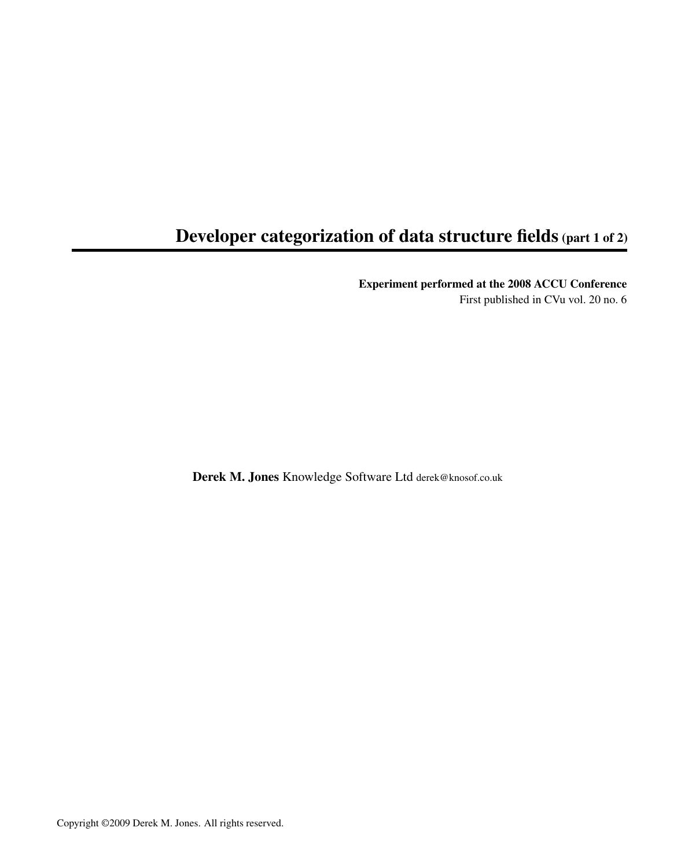### <span id="page-0-0"></span>Developer categorization of data structure fields (part 1 of 2)

Experiment performed at the 2008 ACCU Conference

First published in CVu vol. 20 no. 6

Derek M. Jones Knowledge Software Ltd derek@knosof.co.uk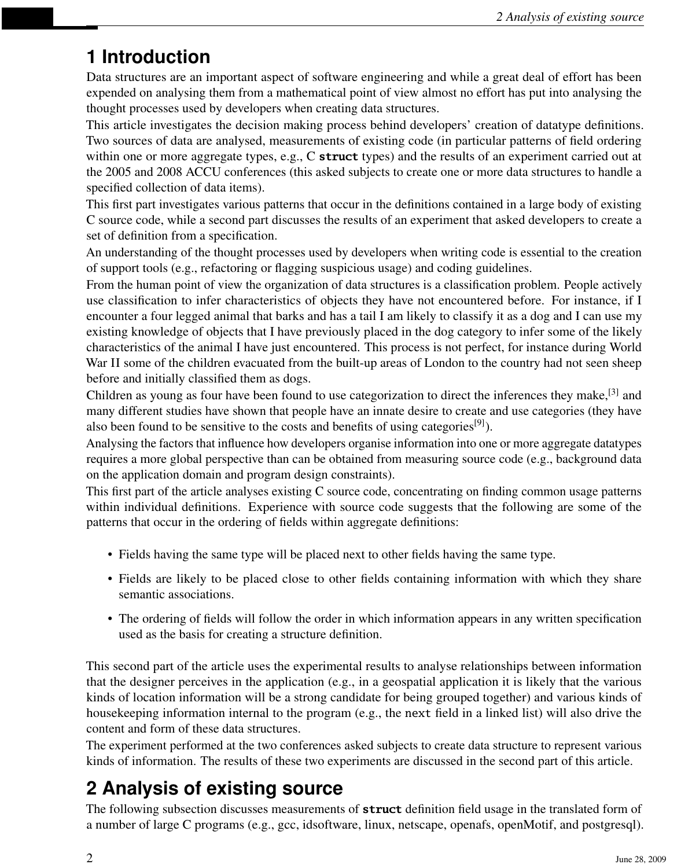## **1 Introduction**

Data structures are an important aspect of software engineering and while a great deal of effort has been expended on analysing them from a mathematical point of view almost no effort has put into analysing the thought processes used by developers when creating data structures.

This article investigates the decision making process behind developers' creation of datatype definitions. Two sources of data are analysed, measurements of existing code (in particular patterns of field ordering within one or more aggregate types, e.g., C **struct** types) and the results of an experiment carried out at the 2005 and 2008 ACCU conferences (this asked subjects to create one or more data structures to handle a specified collection of data items).

This first part investigates various patterns that occur in the definitions contained in a large body of existing C source code, while a second part discusses the results of an experiment that asked developers to create a set of definition from a specification.

An understanding of the thought processes used by developers when writing code is essential to the creation of support tools (e.g., refactoring or flagging suspicious usage) and coding guidelines.

From the human point of view the organization of data structures is a classification problem. People actively use classification to infer characteristics of objects they have not encountered before. For instance, if I encounter a four legged animal that barks and has a tail I am likely to classify it as a dog and I can use my existing knowledge of objects that I have previously placed in the dog category to infer some of the likely characteristics of the animal I have just encountered. This process is not perfect, for instance during World War II some of the children evacuated from the built-up areas of London to the country had not seen sheep before and initially classified them as dogs.

Children as young as four have been found to use categorization to direct the inferences they make,<sup>[3]</sup> and many different studies have shown that people have an innate desire to create and use categories (they have also been found to be sensitive to the costs and benefits of using categories<sup>[9]</sup>).

Analysing the factors that influence how developers organise information into one or more aggregate datatypes requires a more global perspective than can be obtained from measuring source code (e.g., background data on the application domain and program design constraints).

This first part of the article analyses existing C source code, concentrating on finding common usage patterns within individual definitions. Experience with source code suggests that the following are some of the patterns that occur in the ordering of fields within aggregate definitions:

- Fields having the same type will be placed next to other fields having the same type.
- Fields are likely to be placed close to other fields containing information with which they share semantic associations.
- The ordering of fields will follow the order in which information appears in any written specification used as the basis for creating a structure definition.

This second part of the article uses the experimental results to analyse relationships between information that the designer perceives in the application (e.g., in a geospatial application it is likely that the various kinds of location information will be a strong candidate for being grouped together) and various kinds of housekeeping information internal to the program (e.g., the next field in a linked list) will also drive the content and form of these data structures.

The experiment performed at the two conferences asked subjects to create data structure to represent various kinds of information. The results of these two experiments are discussed in the second part of this article.

# **2 Analysis of existing source**

The following subsection discusses measurements of **struct** definition field usage in the translated form of a number of large C programs (e.g., gcc, idsoftware, linux, netscape, openafs, openMotif, and postgresql).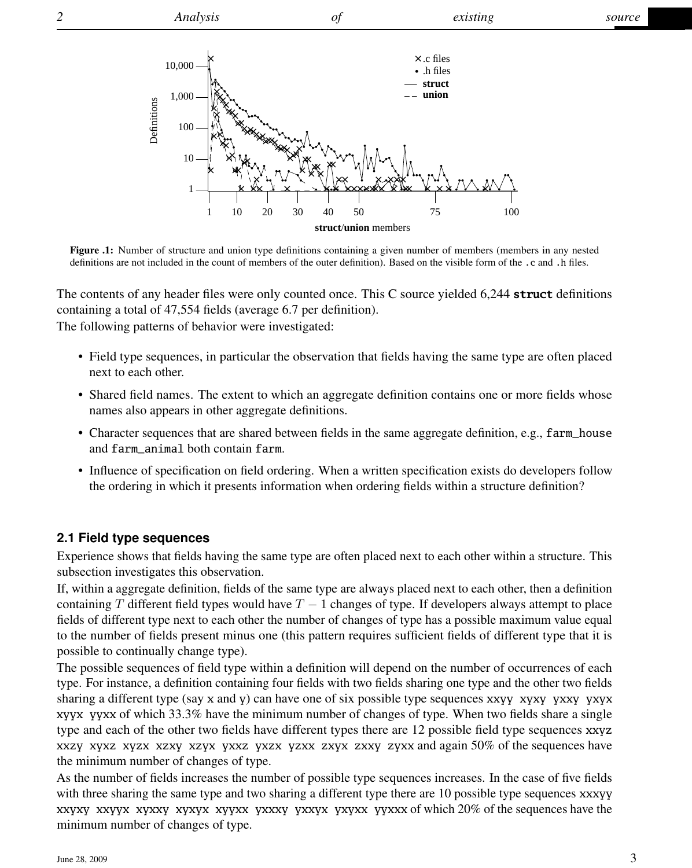*2 Analysis of existing source*



Figure .1: Number of structure and union type definitions containing a given number of members (members in any nested definitions are not included in the count of members of the outer definition). Based on the visible form of the .c and .h files.

The contents of any header files were only counted once. This C source yielded 6,244 **struct** definitions containing a total of 47,554 fields (average 6.7 per definition).

The following patterns of behavior were investigated:

- Field type sequences, in particular the observation that fields having the same type are often placed next to each other.
- Shared field names. The extent to which an aggregate definition contains one or more fields whose names also appears in other aggregate definitions.
- Character sequences that are shared between fields in the same aggregate definition, e.g., farm\_house and farm\_animal both contain farm.
- Influence of specification on field ordering. When a written specification exists do developers follow the ordering in which it presents information when ordering fields within a structure definition?

#### **2.1 Field type sequences**

Experience shows that fields having the same type are often placed next to each other within a structure. This subsection investigates this observation.

If, within a aggregate definition, fields of the same type are always placed next to each other, then a definition containing T different field types would have  $T - 1$  changes of type. If developers always attempt to place fields of different type next to each other the number of changes of type has a possible maximum value equal to the number of fields present minus one (this pattern requires sufficient fields of different type that it is possible to continually change type).

The possible sequences of field type within a definition will depend on the number of occurrences of each type. For instance, a definition containing four fields with two fields sharing one type and the other two fields sharing a different type (say x and y) can have one of six possible type sequences xxyy xyxy yxxy yxyx xyyx yyxx of which 33.3% have the minimum number of changes of type. When two fields share a single type and each of the other two fields have different types there are 12 possible field type sequences xxyz xxzy xyxz xyzx xzxy xzyx yxxz yxzx yzxx zxyx zxxy zyxx and again 50% of the sequences have the minimum number of changes of type.

As the number of fields increases the number of possible type sequences increases. In the case of five fields with three sharing the same type and two sharing a different type there are 10 possible type sequences xxxyy xxyxy xxyyx xyxxy xyxyx xyyxx yxxxy yxxyx yxyxx yyxxx of which 20% of the sequences have the minimum number of changes of type.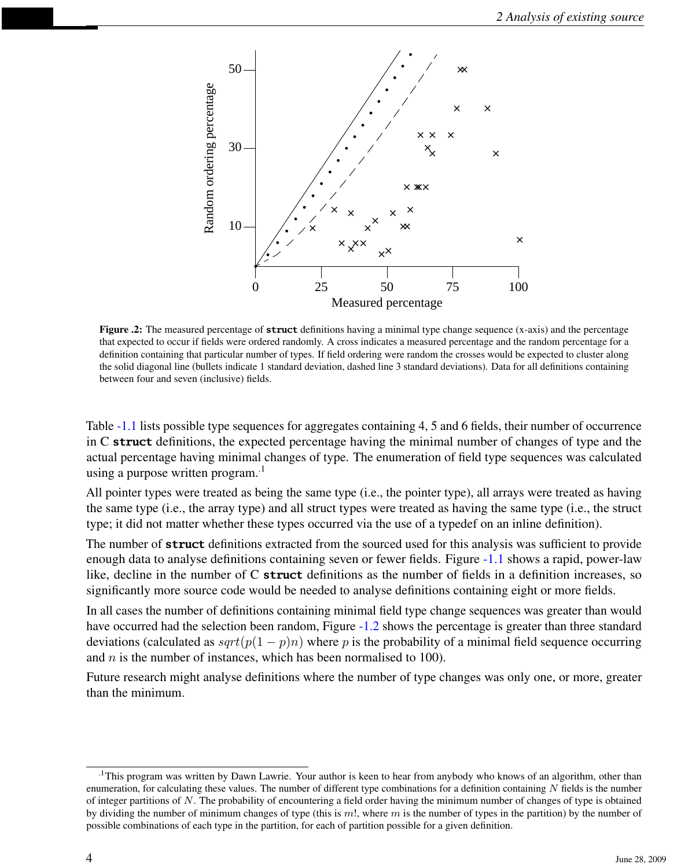

Figure .2: The measured percentage of **struct** definitions having a minimal type change sequence (x-axis) and the percentage that expected to occur if fields were ordered randomly. A cross indicates a measured percentage and the random percentage for a definition containing that particular number of types. If field ordering were random the crosses would be expected to cluster along the solid diagonal line (bullets indicate 1 standard deviation, dashed line 3 standard deviations). Data for all definitions containing between four and seven (inclusive) fields.

Table [-1.1](#page-0-0) lists possible type sequences for aggregates containing 4, 5 and 6 fields, their number of occurrence in C **struct** definitions, the expected percentage having the minimal number of changes of type and the actual percentage having minimal changes of type. The enumeration of field type sequences was calculated using a purpose written program. $1$ 

All pointer types were treated as being the same type (i.e., the pointer type), all arrays were treated as having the same type (i.e., the array type) and all struct types were treated as having the same type (i.e., the struct type; it did not matter whether these types occurred via the use of a typedef on an inline definition).

The number of **struct** definitions extracted from the sourced used for this analysis was sufficient to provide enough data to analyse definitions containing seven or fewer fields. Figure [-1.1](#page-0-0) shows a rapid, power-law like, decline in the number of C **struct** definitions as the number of fields in a definition increases, so significantly more source code would be needed to analyse definitions containing eight or more fields.

In all cases the number of definitions containing minimal field type change sequences was greater than would have occurred had the selection been random, Figure [-1.2](#page-0-0) shows the percentage is greater than three standard deviations (calculated as  $sqrt(p(1-p)n)$  where p is the probability of a minimal field sequence occurring and  $n$  is the number of instances, which has been normalised to 100).

Future research might analyse definitions where the number of type changes was only one, or more, greater than the minimum.

<sup>.1</sup>This program was written by Dawn Lawrie. Your author is keen to hear from anybody who knows of an algorithm, other than enumeration, for calculating these values. The number of different type combinations for a definition containing  $N$  fields is the number of integer partitions of  $N$ . The probability of encountering a field order having the minimum number of changes of type is obtained by dividing the number of minimum changes of type (this is  $m!$ , where m is the number of types in the partition) by the number of possible combinations of each type in the partition, for each of partition possible for a given definition.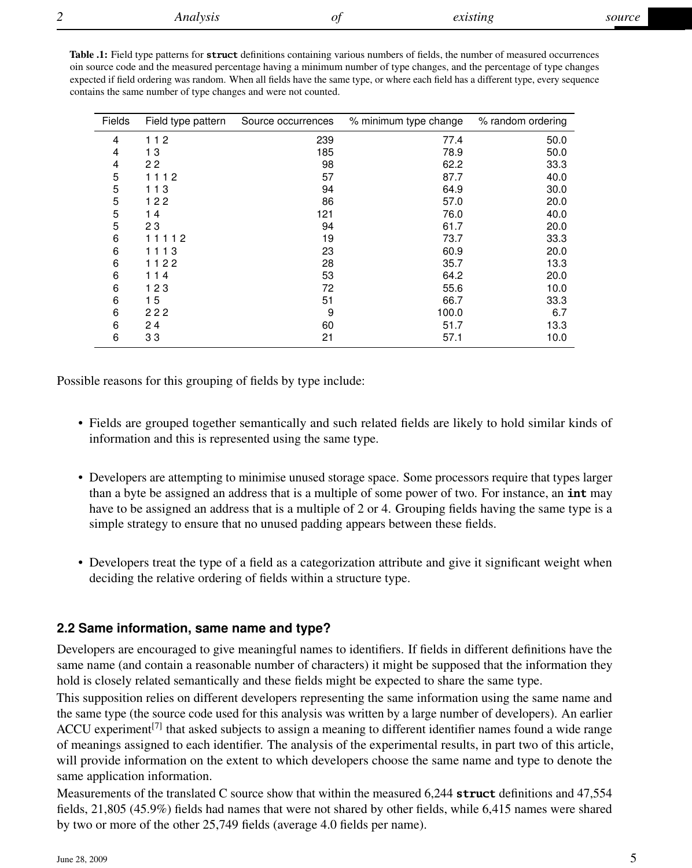| <b>Table .1:</b> Field type patterns for <b>struct</b> definitions containing various numbers of fields, the number of measured occurrences |
|---------------------------------------------------------------------------------------------------------------------------------------------|
| oin source code and the measured percentage having a minimum number of type changes, and the percentage of type changes                     |
| expected if field ordering was random. When all fields have the same type, or where each field has a different type, every sequence         |
| contains the same number of type changes and were not counted.                                                                              |

| Fields | Field type pattern | Source occurrences | % minimum type change | % random ordering |
|--------|--------------------|--------------------|-----------------------|-------------------|
| 4      | 112                | 239                | 77.4                  | 50.0              |
| 4      | 13                 | 185                | 78.9                  | 50.0              |
| 4      | 22                 | 98                 | 62.2                  | 33.3              |
| 5      | 1112               | 57                 | 87.7                  | 40.0              |
| 5      | 113                | 94                 | 64.9                  | 30.0              |
| 5      | 122                | 86                 | 57.0                  | 20.0              |
| 5      | 14                 | 121                | 76.0                  | 40.0              |
| 5      | 23                 | 94                 | 61.7                  | 20.0              |
| 6      | 11112              | 19                 | 73.7                  | 33.3              |
| 6      | 1113               | 23                 | 60.9                  | 20.0              |
| 6      | 1122               | 28                 | 35.7                  | 13.3              |
| 6      | 114                | 53                 | 64.2                  | 20.0              |
| 6      | 123                | 72                 | 55.6                  | 10.0              |
| 6      | 15                 | 51                 | 66.7                  | 33.3              |
| 6      | 222                | 9                  | 100.0                 | 6.7               |
| 6      | 24                 | 60                 | 51.7                  | 13.3              |
| 6      | 33                 | 21                 | 57.1                  | 10.0              |

Possible reasons for this grouping of fields by type include:

- Fields are grouped together semantically and such related fields are likely to hold similar kinds of information and this is represented using the same type.
- Developers are attempting to minimise unused storage space. Some processors require that types larger than a byte be assigned an address that is a multiple of some power of two. For instance, an **int** may have to be assigned an address that is a multiple of 2 or 4. Grouping fields having the same type is a simple strategy to ensure that no unused padding appears between these fields.
- Developers treat the type of a field as a categorization attribute and give it significant weight when deciding the relative ordering of fields within a structure type.

### **2.2 Same information, same name and type?**

Developers are encouraged to give meaningful names to identifiers. If fields in different definitions have the same name (and contain a reasonable number of characters) it might be supposed that the information they hold is closely related semantically and these fields might be expected to share the same type.

This supposition relies on different developers representing the same information using the same name and the same type (the source code used for this analysis was written by a large number of developers). An earlier ACCU experiment<sup>[7]</sup> that asked subjects to assign a meaning to different identifier names found a wide range of meanings assigned to each identifier. The analysis of the experimental results, in part two of this article, will provide information on the extent to which developers choose the same name and type to denote the same application information.

Measurements of the translated C source show that within the measured 6,244 **struct** definitions and 47,554 fields, 21,805 (45.9%) fields had names that were not shared by other fields, while 6,415 names were shared by two or more of the other 25,749 fields (average 4.0 fields per name).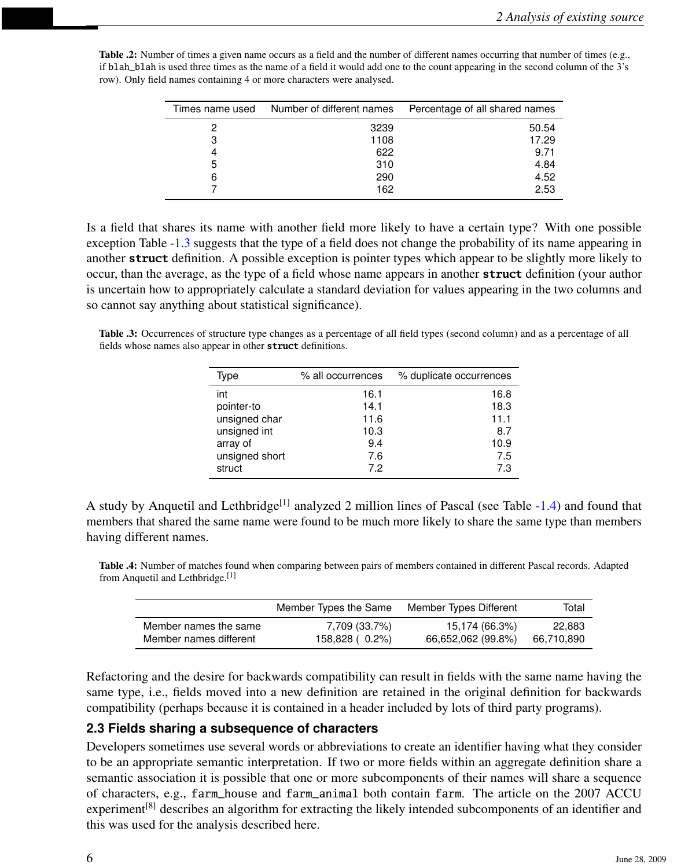| Times name used | Number of different names | Percentage of all shared names |
|-----------------|---------------------------|--------------------------------|
| 2               | 3239                      | 50.54                          |
| 3               | 1108                      | 17.29                          |
| 4               | 622                       | 9.71                           |
| 5               | 310                       | 4.84                           |
| 6               | 290                       | 4.52                           |
|                 | 162                       | 2.53                           |

Table .2: Number of times a given name occurs as a field and the number of different names occurring that number of times (e.g., if blah\_blah is used three times as the name of a field it would add one to the count appearing in the second column of the 3's row). Only field names containing 4 or more characters were analysed.

Is a field that shares its name with another field more likely to have a certain type? With one possible exception Table [-1.3](#page-0-0) suggests that the type of a field does not change the probability of its name appearing in another **struct** definition. A possible exception is pointer types which appear to be slightly more likely to occur, than the average, as the type of a field whose name appears in another **struct** definition (your author is uncertain how to appropriately calculate a standard deviation for values appearing in the two columns and so cannot say anything about statistical significance).

Table .3: Occurrences of structure type changes as a percentage of all field types (second column) and as a percentage of all fields whose names also appear in other **struct** definitions.

| Type           | % all occurrences | % duplicate occurrences |
|----------------|-------------------|-------------------------|
| int            | 16.1              | 16.8                    |
| pointer-to     | 14.1              | 18.3                    |
| unsigned char  | 11.6              | 11.1                    |
| unsigned int   | 10.3              | 8.7                     |
| array of       | 9.4               | 10.9                    |
| unsigned short | 7.6               | 7.5                     |
| struct         | 7.2               | 7.3                     |

A study by Anquetil and Lethbridge<sup>[1]</sup> analyzed 2 million lines of Pascal (see Table  $-1.4$ ) and found that members that shared the same name were found to be much more likely to share the same type than members having different names.

Table .4: Number of matches found when comparing between pairs of members contained in different Pascal records. Adapted from Anquetil and Lethbridge.[1]

|                        | Member Types the Same | Member Types Different | Total      |
|------------------------|-----------------------|------------------------|------------|
| Member names the same  | 7,709 (33.7%)         | 15,174 (66.3%)         | 22.883     |
| Member names different | 158,828 ( 0.2%)       | 66,652,062 (99.8%)     | 66,710,890 |

Refactoring and the desire for backwards compatibility can result in fields with the same name having the same type, i.e., fields moved into a new definition are retained in the original definition for backwards compatibility (perhaps because it is contained in a header included by lots of third party programs).

### **2.3 Fields sharing a subsequence of characters**

Developers sometimes use several words or abbreviations to create an identifier having what they consider to be an appropriate semantic interpretation. If two or more fields within an aggregate definition share a semantic association it is possible that one or more subcomponents of their names will share a sequence of characters, e.g., farm\_house and farm\_animal both contain farm. The article on the 2007 ACCU experiment<sup>[8]</sup> describes an algorithm for extracting the likely intended subcomponents of an identifier and this was used for the analysis described here.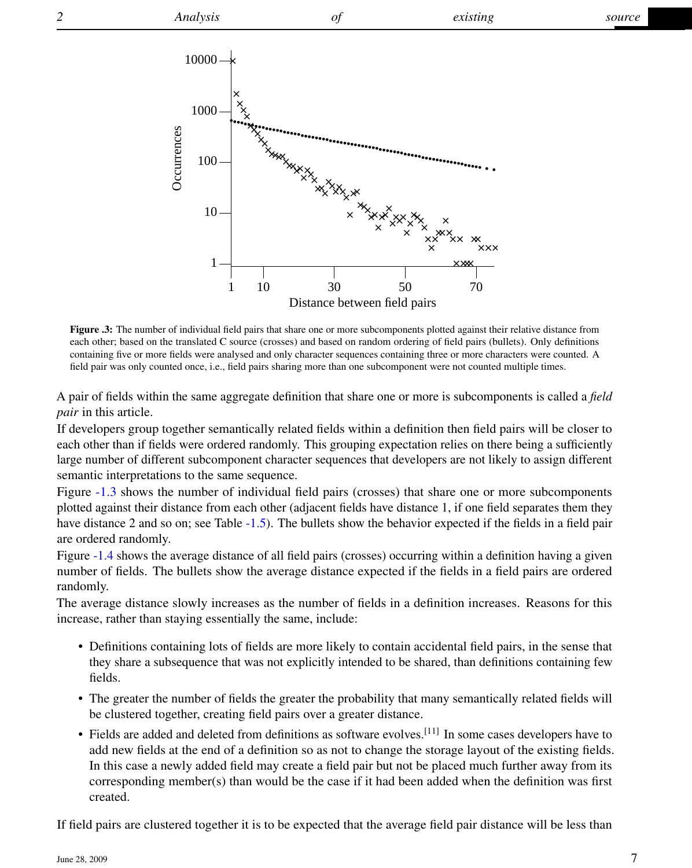

Figure .3: The number of individual field pairs that share one or more subcomponents plotted against their relative distance from each other; based on the translated C source (crosses) and based on random ordering of field pairs (bullets). Only definitions containing five or more fields were analysed and only character sequences containing three or more characters were counted. A field pair was only counted once, i.e., field pairs sharing more than one subcomponent were not counted multiple times.

A pair of fields within the same aggregate definition that share one or more is subcomponents is called a *field pair* in this article.

If developers group together semantically related fields within a definition then field pairs will be closer to each other than if fields were ordered randomly. This grouping expectation relies on there being a sufficiently large number of different subcomponent character sequences that developers are not likely to assign different semantic interpretations to the same sequence.

Figure [-1.3](#page-0-0) shows the number of individual field pairs (crosses) that share one or more subcomponents plotted against their distance from each other (adjacent fields have distance 1, if one field separates them they have distance 2 and so on; see Table [-1.5\)](#page-0-0). The bullets show the behavior expected if the fields in a field pair are ordered randomly.

Figure [-1.4](#page-0-0) shows the average distance of all field pairs (crosses) occurring within a definition having a given number of fields. The bullets show the average distance expected if the fields in a field pairs are ordered randomly.

The average distance slowly increases as the number of fields in a definition increases. Reasons for this increase, rather than staying essentially the same, include:

- Definitions containing lots of fields are more likely to contain accidental field pairs, in the sense that they share a subsequence that was not explicitly intended to be shared, than definitions containing few fields.
- The greater the number of fields the greater the probability that many semantically related fields will be clustered together, creating field pairs over a greater distance.
- Fields are added and deleted from definitions as software evolves.[11] In some cases developers have to add new fields at the end of a definition so as not to change the storage layout of the existing fields. In this case a newly added field may create a field pair but not be placed much further away from its corresponding member(s) than would be the case if it had been added when the definition was first created.

If field pairs are clustered together it is to be expected that the average field pair distance will be less than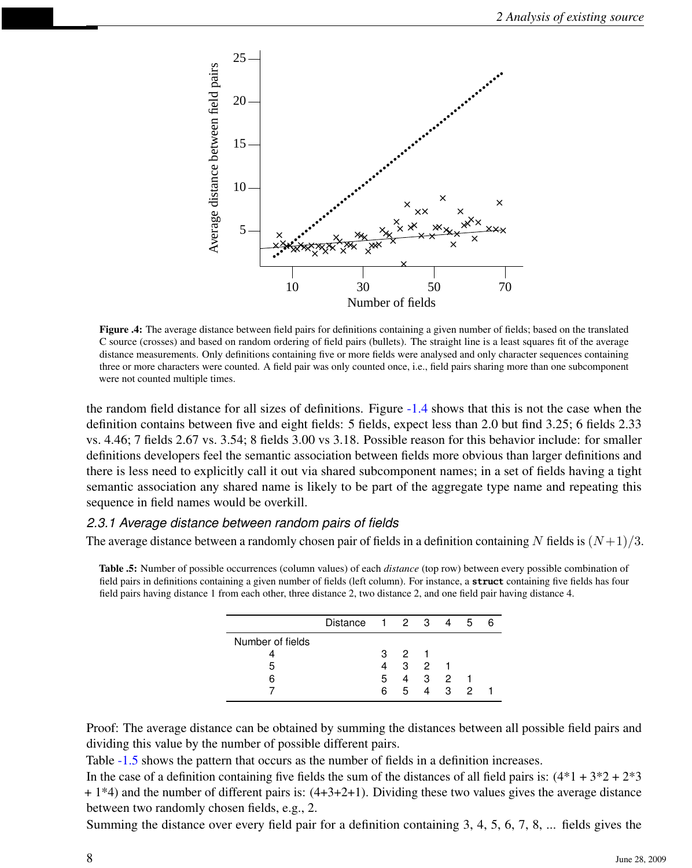

Figure .4: The average distance between field pairs for definitions containing a given number of fields; based on the translated C source (crosses) and based on random ordering of field pairs (bullets). The straight line is a least squares fit of the average distance measurements. Only definitions containing five or more fields were analysed and only character sequences containing three or more characters were counted. A field pair was only counted once, i.e., field pairs sharing more than one subcomponent were not counted multiple times.

the random field distance for all sizes of definitions. Figure [-1.4](#page-0-0) shows that this is not the case when the definition contains between five and eight fields: 5 fields, expect less than 2.0 but find 3.25; 6 fields 2.33 vs. 4.46; 7 fields 2.67 vs. 3.54; 8 fields 3.00 vs 3.18. Possible reason for this behavior include: for smaller definitions developers feel the semantic association between fields more obvious than larger definitions and there is less need to explicitly call it out via shared subcomponent names; in a set of fields having a tight semantic association any shared name is likely to be part of the aggregate type name and repeating this sequence in field names would be overkill.

#### *2.3.1 Average distance between random pairs of fields*

The average distance between a randomly chosen pair of fields in a definition containing N fields is  $(N+1)/3$ .

Table .5: Number of possible occurrences (column values) of each *distance* (top row) between every possible combination of field pairs in definitions containing a given number of fields (left column). For instance, a **struct** containing five fields has four field pairs having distance 1 from each other, three distance 2, two distance 2, and one field pair having distance 4.

|                  | Distance $1 \t2 \t3 \t4$ |    |                                          |                |       | 5 | ี |
|------------------|--------------------------|----|------------------------------------------|----------------|-------|---|---|
| Number of fields |                          |    |                                          |                |       |   |   |
|                  |                          | з  | $\begin{array}{ccc} & 2 & 1 \end{array}$ |                |       |   |   |
|                  |                          |    |                                          | 3 <sub>2</sub> |       |   |   |
|                  |                          | 5  |                                          | 4 3 2          |       |   |   |
|                  |                          | 6. | 5.                                       |                | 4 3 2 |   |   |

Proof: The average distance can be obtained by summing the distances between all possible field pairs and dividing this value by the number of possible different pairs.

Table  $-1.5$  shows the pattern that occurs as the number of fields in a definition increases.

In the case of a definition containing five fields the sum of the distances of all field pairs is:  $(4*1 + 3*2 + 2*3)$  $+ 1*4$ ) and the number of different pairs is:  $(4+3+2+1)$ . Dividing these two values gives the average distance between two randomly chosen fields, e.g., 2.

Summing the distance over every field pair for a definition containing 3, 4, 5, 6, 7, 8, ... fields gives the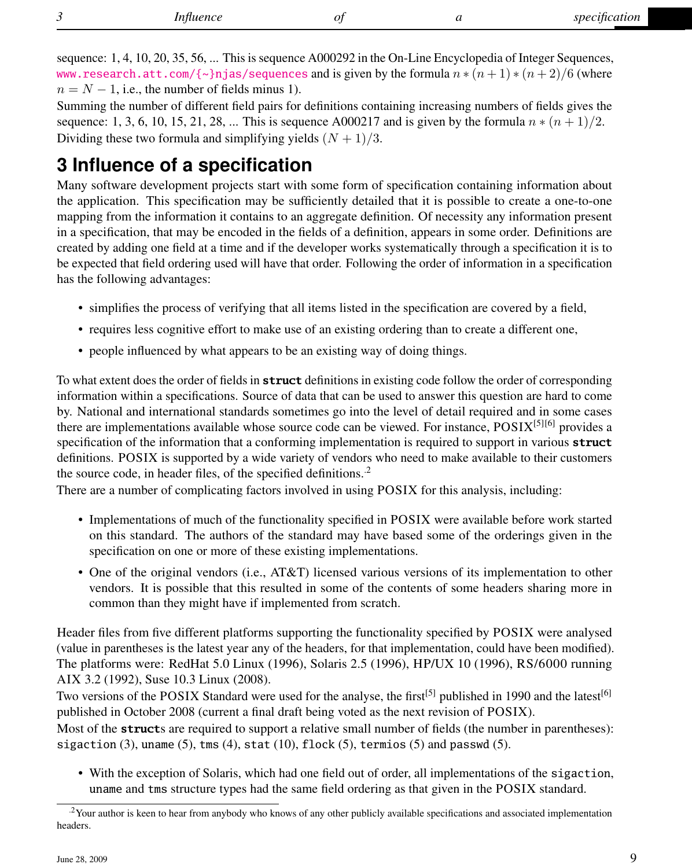sequence: 1, 4, 10, 20, 35, 56, ... This is sequence A000292 in the On-Line Encyclopedia of Integer Sequences, <www.research.att.com/{~}njas/sequences> and is given by the formula  $n * (n + 1) * (n + 2)/6$  (where  $n = N - 1$ , i.e., the number of fields minus 1).

Summing the number of different field pairs for definitions containing increasing numbers of fields gives the sequence: 1, 3, 6, 10, 15, 21, 28, ... This is sequence A000217 and is given by the formula  $n * (n + 1)/2$ . Dividing these two formula and simplifying yields  $(N + 1)/3$ .

## **3 Influence of a specification**

Many software development projects start with some form of specification containing information about the application. This specification may be sufficiently detailed that it is possible to create a one-to-one mapping from the information it contains to an aggregate definition. Of necessity any information present in a specification, that may be encoded in the fields of a definition, appears in some order. Definitions are created by adding one field at a time and if the developer works systematically through a specification it is to be expected that field ordering used will have that order. Following the order of information in a specification has the following advantages:

- simplifies the process of verifying that all items listed in the specification are covered by a field,
- requires less cognitive effort to make use of an existing ordering than to create a different one,
- people influenced by what appears to be an existing way of doing things.

To what extent does the order of fields in **struct** definitions in existing code follow the order of corresponding information within a specifications. Source of data that can be used to answer this question are hard to come by. National and international standards sometimes go into the level of detail required and in some cases there are implementations available whose source code can be viewed. For instance, POSIX[5][6] provides a specification of the information that a conforming implementation is required to support in various **struct** definitions. POSIX is supported by a wide variety of vendors who need to make available to their customers the source code, in header files, of the specified definitions.<sup>2</sup>

There are a number of complicating factors involved in using POSIX for this analysis, including:

- Implementations of much of the functionality specified in POSIX were available before work started on this standard. The authors of the standard may have based some of the orderings given in the specification on one or more of these existing implementations.
- One of the original vendors (i.e., AT&T) licensed various versions of its implementation to other vendors. It is possible that this resulted in some of the contents of some headers sharing more in common than they might have if implemented from scratch.

Header files from five different platforms supporting the functionality specified by POSIX were analysed (value in parentheses is the latest year any of the headers, for that implementation, could have been modified). The platforms were: RedHat 5.0 Linux (1996), Solaris 2.5 (1996), HP/UX 10 (1996), RS/6000 running AIX 3.2 (1992), Suse 10.3 Linux (2008).

Two versions of the POSIX Standard were used for the analyse, the first<sup>[5]</sup> published in 1990 and the latest<sup>[6]</sup> published in October 2008 (current a final draft being voted as the next revision of POSIX).

Most of the **struct**s are required to support a relative small number of fields (the number in parentheses): sigaction  $(3)$ , uname  $(5)$ , tms  $(4)$ , stat  $(10)$ , flock  $(5)$ , termios  $(5)$  and passwd  $(5)$ .

• With the exception of Solaris, which had one field out of order, all implementations of the sigaction, uname and tms structure types had the same field ordering as that given in the POSIX standard.

 $2$ Your author is keen to hear from anybody who knows of any other publicly available specifications and associated implementation headers.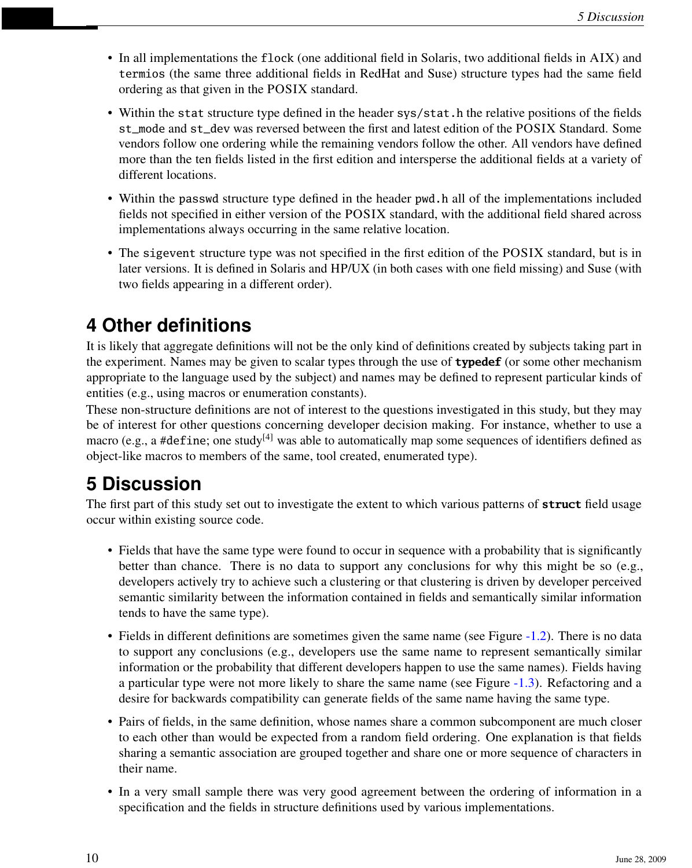- In all implementations the flock (one additional field in Solaris, two additional fields in AIX) and termios (the same three additional fields in RedHat and Suse) structure types had the same field ordering as that given in the POSIX standard.
- Within the stat structure type defined in the header sys/stat.h the relative positions of the fields st\_mode and st\_dev was reversed between the first and latest edition of the POSIX Standard. Some vendors follow one ordering while the remaining vendors follow the other. All vendors have defined more than the ten fields listed in the first edition and intersperse the additional fields at a variety of different locations.
- Within the passwd structure type defined in the header pwd.h all of the implementations included fields not specified in either version of the POSIX standard, with the additional field shared across implementations always occurring in the same relative location.
- The sigevent structure type was not specified in the first edition of the POSIX standard, but is in later versions. It is defined in Solaris and HP/UX (in both cases with one field missing) and Suse (with two fields appearing in a different order).

# **4 Other definitions**

It is likely that aggregate definitions will not be the only kind of definitions created by subjects taking part in the experiment. Names may be given to scalar types through the use of **typedef** (or some other mechanism appropriate to the language used by the subject) and names may be defined to represent particular kinds of entities (e.g., using macros or enumeration constants).

These non-structure definitions are not of interest to the questions investigated in this study, but they may be of interest for other questions concerning developer decision making. For instance, whether to use a macro (e.g., a #define; one study<sup>[4]</sup> was able to automatically map some sequences of identifiers defined as object-like macros to members of the same, tool created, enumerated type).

# **5 Discussion**

The first part of this study set out to investigate the extent to which various patterns of **struct** field usage occur within existing source code.

- Fields that have the same type were found to occur in sequence with a probability that is significantly better than chance. There is no data to support any conclusions for why this might be so (e.g., developers actively try to achieve such a clustering or that clustering is driven by developer perceived semantic similarity between the information contained in fields and semantically similar information tends to have the same type).
- Fields in different definitions are sometimes given the same name (see Figure [-1.2\)](#page-0-0). There is no data to support any conclusions (e.g., developers use the same name to represent semantically similar information or the probability that different developers happen to use the same names). Fields having a particular type were not more likely to share the same name (see Figure [-1.3\)](#page-0-0). Refactoring and a desire for backwards compatibility can generate fields of the same name having the same type.
- Pairs of fields, in the same definition, whose names share a common subcomponent are much closer to each other than would be expected from a random field ordering. One explanation is that fields sharing a semantic association are grouped together and share one or more sequence of characters in their name.
- In a very small sample there was very good agreement between the ordering of information in a specification and the fields in structure definitions used by various implementations.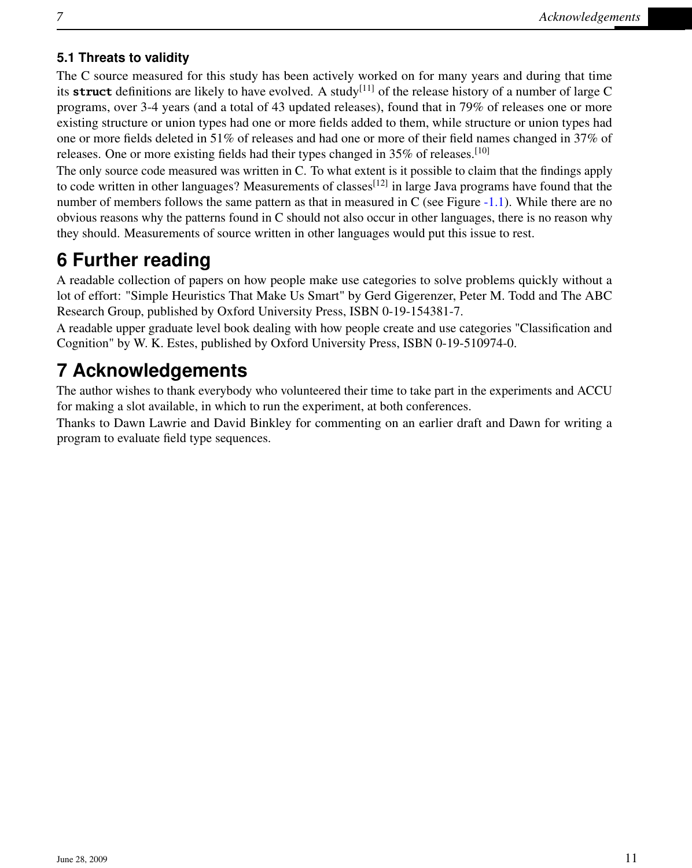### **5.1 Threats to validity**

The C source measured for this study has been actively worked on for many years and during that time its **struct** definitions are likely to have evolved. A study<sup>[11]</sup> of the release history of a number of large C programs, over 3-4 years (and a total of 43 updated releases), found that in 79% of releases one or more existing structure or union types had one or more fields added to them, while structure or union types had one or more fields deleted in 51% of releases and had one or more of their field names changed in 37% of releases. One or more existing fields had their types changed in 35% of releases.<sup>[10]</sup>

The only source code measured was written in C. To what extent is it possible to claim that the findings apply to code written in other languages? Measurements of classes<sup>[12]</sup> in large Java programs have found that the number of members follows the same pattern as that in measured in C (see Figure  $-1.1$ ). While there are no obvious reasons why the patterns found in C should not also occur in other languages, there is no reason why they should. Measurements of source written in other languages would put this issue to rest.

### **6 Further reading**

A readable collection of papers on how people make use categories to solve problems quickly without a lot of effort: "Simple Heuristics That Make Us Smart" by Gerd Gigerenzer, Peter M. Todd and The ABC Research Group, published by Oxford University Press, ISBN 0-19-154381-7.

A readable upper graduate level book dealing with how people create and use categories "Classification and Cognition" by W. K. Estes, published by Oxford University Press, ISBN 0-19-510974-0.

### **7 Acknowledgements**

The author wishes to thank everybody who volunteered their time to take part in the experiments and ACCU for making a slot available, in which to run the experiment, at both conferences.

Thanks to Dawn Lawrie and David Binkley for commenting on an earlier draft and Dawn for writing a program to evaluate field type sequences.